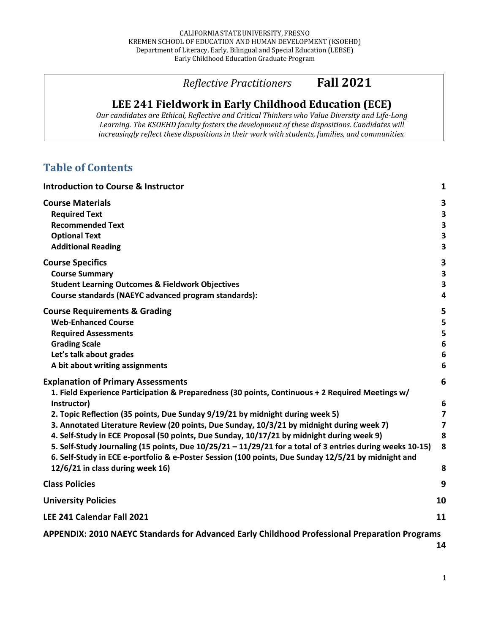# *Reflective Practitioners* **Fall 2021**

# LEE 241 Fieldwork in Early Childhood Education (ECE)

*Our candidates are Ethical, Reflective and Critical Thinkers who Value Diversity and Life-Long* Learning. The KSOEHD faculty fosters the development of these dispositions. Candidates will increasingly reflect these dispositions in their work with students, families, and communities.

# **Table of Contents**

| <b>Introduction to Course &amp; Instructor</b>                                                                                                                                                                                                                                                                                                                                                                                                                                                                                                                                                                                                                                                  | $\mathbf{1}$                                                       |
|-------------------------------------------------------------------------------------------------------------------------------------------------------------------------------------------------------------------------------------------------------------------------------------------------------------------------------------------------------------------------------------------------------------------------------------------------------------------------------------------------------------------------------------------------------------------------------------------------------------------------------------------------------------------------------------------------|--------------------------------------------------------------------|
| <b>Course Materials</b><br><b>Required Text</b><br><b>Recommended Text</b><br><b>Optional Text</b><br><b>Additional Reading</b>                                                                                                                                                                                                                                                                                                                                                                                                                                                                                                                                                                 | 3<br>3<br>3<br>3<br>3                                              |
| <b>Course Specifics</b><br><b>Course Summary</b><br><b>Student Learning Outcomes &amp; Fieldwork Objectives</b><br>Course standards (NAEYC advanced program standards):                                                                                                                                                                                                                                                                                                                                                                                                                                                                                                                         | 3<br>3<br>3<br>$\overline{4}$                                      |
| <b>Course Requirements &amp; Grading</b><br><b>Web-Enhanced Course</b><br><b>Required Assessments</b><br><b>Grading Scale</b><br>Let's talk about grades<br>A bit about writing assignments                                                                                                                                                                                                                                                                                                                                                                                                                                                                                                     | 5<br>5<br>5<br>$6\phantom{1}6$<br>$6\phantom{1}6$<br>6             |
| <b>Explanation of Primary Assessments</b><br>1. Field Experience Participation & Preparedness (30 points, Continuous + 2 Required Meetings w/<br>Instructor)<br>2. Topic Reflection (35 points, Due Sunday 9/19/21 by midnight during week 5)<br>3. Annotated Literature Review (20 points, Due Sunday, 10/3/21 by midnight during week 7)<br>4. Self-Study in ECE Proposal (50 points, Due Sunday, 10/17/21 by midnight during week 9)<br>5. Self-Study Journaling (15 points, Due 10/25/21 - 11/29/21 for a total of 3 entries during weeks 10-15)<br>6. Self-Study in ECE e-portfolio & e-Poster Session (100 points, Due Sunday 12/5/21 by midnight and<br>12/6/21 in class during week 16) | 6<br>6<br>$\overline{7}$<br>$\overline{\mathbf{z}}$<br>8<br>8<br>8 |
| <b>Class Policies</b>                                                                                                                                                                                                                                                                                                                                                                                                                                                                                                                                                                                                                                                                           | 9                                                                  |
| <b>University Policies</b>                                                                                                                                                                                                                                                                                                                                                                                                                                                                                                                                                                                                                                                                      | 10                                                                 |
| LEE 241 Calendar Fall 2021                                                                                                                                                                                                                                                                                                                                                                                                                                                                                                                                                                                                                                                                      | 11                                                                 |
| APPENDIX: 2010 NAEYC Standards for Advanced Early Childhood Professional Preparation Programs                                                                                                                                                                                                                                                                                                                                                                                                                                                                                                                                                                                                   |                                                                    |
|                                                                                                                                                                                                                                                                                                                                                                                                                                                                                                                                                                                                                                                                                                 | 14                                                                 |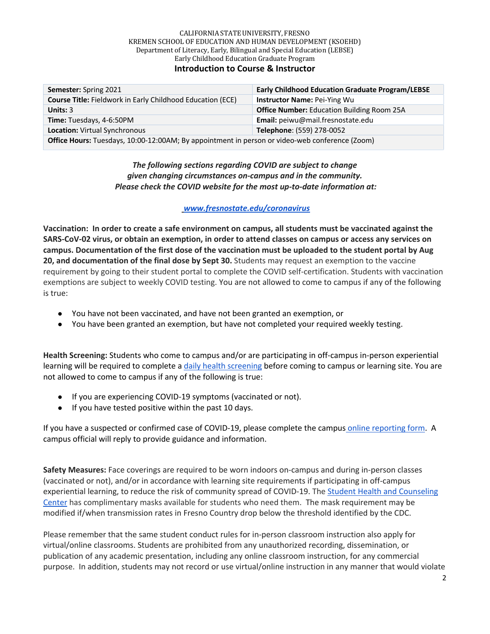| <b>Semester:</b> Spring 2021                                                                   | <b>Early Childhood Education Graduate Program/LEBSE</b> |  |
|------------------------------------------------------------------------------------------------|---------------------------------------------------------|--|
| <b>Course Title: Fieldwork in Early Childhood Education (ECE)</b>                              | <b>Instructor Name: Pei-Ying Wu</b>                     |  |
| Units: $3$                                                                                     | <b>Office Number:</b> Education Building Room 25A       |  |
| Time: Tuesdays, 4-6:50PM                                                                       | Email: peiwu@mail.fresnostate.edu                       |  |
| Location: Virtual Synchronous<br>Telephone: (559) 278-0052                                     |                                                         |  |
| Office Hours: Tuesdays, 10:00-12:00AM; By appointment in person or video-web conference (Zoom) |                                                         |  |

## *The following sections regarding COVID are subject to change given changing circumstances on-campus and in the community. Please check the COVID website for the most up-to-date information at:*

## *www.fresnostate.edu/coronavirus*

**Vaccination: In order to create a safe environment on campus, all students must be vaccinated against the SARS-CoV-02 virus, or obtain an exemption, in order to attend classes on campus or access any services on campus. Documentation of the first dose of the vaccination must be uploaded to the student portal by Aug 20, and documentation of the final dose by Sept 30.** Students may request an exemption to the vaccine requirement by going to their student portal to complete the COVID self-certification. Students with vaccination exemptions are subject to weekly COVID testing. You are not allowed to come to campus if any of the following is true:

- You have not been vaccinated, and have not been granted an exemption, or
- You have been granted an exemption, but have not completed your required weekly testing.

**Health Screening:** Students who come to campus and/or are participating in off-campus in-person experiential learning will be required to complete a daily health screening before coming to campus or learning site. You are not allowed to come to campus if any of the following is true:

- If you are experiencing COVID-19 symptoms (vaccinated or not).
- If you have tested positive within the past 10 days.

If you have a suspected or confirmed case of COVID-19, please complete the campus online reporting form. A campus official will reply to provide guidance and information.

**Safety Measures:** Face coverings are required to be worn indoors on-campus and during in-person classes (vaccinated or not), and/or in accordance with learning site requirements if participating in off-campus experiential learning, to reduce the risk of community spread of COVID-19. The Student Health and Counseling Center has complimentary masks available for students who need them. The mask requirement may be modified if/when transmission rates in Fresno Country drop below the threshold identified by the CDC.

Please remember that the same student conduct rules for in-person classroom instruction also apply for virtual/online classrooms. Students are prohibited from any unauthorized recording, dissemination, or publication of any academic presentation, including any online classroom instruction, for any commercial purpose. In addition, students may not record or use virtual/online instruction in any manner that would violate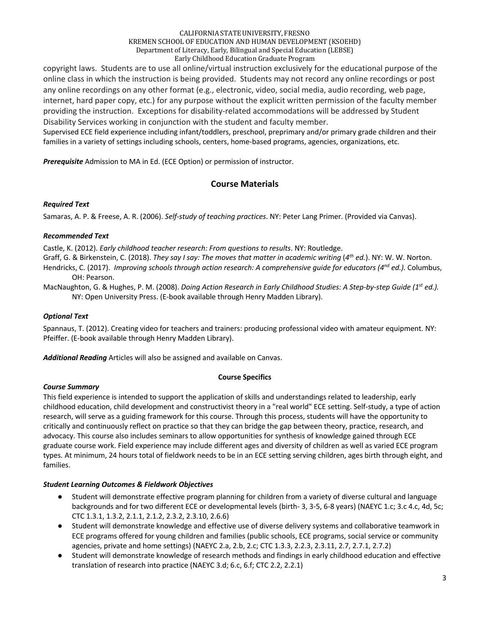copyright laws. Students are to use all online/virtual instruction exclusively for the educational purpose of the online class in which the instruction is being provided. Students may not record any online recordings or post any online recordings on any other format (e.g., electronic, video, social media, audio recording, web page, internet, hard paper copy, etc.) for any purpose without the explicit written permission of the faculty member providing the instruction. Exceptions for disability-related accommodations will be addressed by Student Disability Services working in conjunction with the student and faculty member.

Supervised ECE field experience including infant/toddlers, preschool, preprimary and/or primary grade children and their families in a variety of settings including schools, centers, home-based programs, agencies, organizations, etc.

*Prerequisite* Admission to MA in Ed. (ECE Option) or permission of instructor.

# **Course Materials**

## *Required Text*

Samaras, A. P. & Freese, A. R. (2006). *Self-study of teaching practices*. NY: Peter Lang Primer. (Provided via Canvas).

## *Recommended Text*

Castle, K. (2012). *Early childhood teacher research: From questions to results*. NY: Routledge.

Graff, G. & Birkenstein, C. (2018). *They say I say: The moves that matter in academic writing* (*4th ed.*). NY: W. W. Norton.

Hendricks, C. (2017). *Improving schools through action research: A comprehensive guide for educators (4nd ed.).* Columbus, OH: Pearson.

MacNaughton, G. & Hughes, P. M. (2008). *Doing Action Research in Early Childhood Studies: A Step-by-step Guide (1st ed.).* NY: Open University Press. (E-book available through Henry Madden Library).

## *Optional Text*

Spannaus, T. (2012). Creating video for teachers and trainers: producing professional video with amateur equipment. NY: Pfeiffer. (E-book available through Henry Madden Library).

*Additional Reading* Articles will also be assigned and available on Canvas.

## **Course Specifics**

## *Course Summary*

This field experience is intended to support the application of skills and understandings related to leadership, early childhood education, child development and constructivist theory in a "real world" ECE setting. Self-study, a type of action research, will serve as a guiding framework for this course. Through this process, students will have the opportunity to critically and continuously reflect on practice so that they can bridge the gap between theory, practice, research, and advocacy. This course also includes seminars to allow opportunities for synthesis of knowledge gained through ECE graduate course work. Field experience may include different ages and diversity of children as well as varied ECE program types. At minimum, 24 hours total of fieldwork needs to be in an ECE setting serving children, ages birth through eight, and families.

## *Student Learning Outcomes & Fieldwork Objectives*

- Student will demonstrate effective program planning for children from a variety of diverse cultural and language backgrounds and for two different ECE or developmental levels (birth- 3, 3-5, 6-8 years) (NAEYC 1.c; 3.c 4.c, 4d, 5c; CTC 1.3.1, 1.3.2, 2.1.1, 2.1.2, 2.3.2, 2.3.10, 2.6.6)
- Student will demonstrate knowledge and effective use of diverse delivery systems and collaborative teamwork in ECE programs offered for young children and families (public schools, ECE programs, social service or community agencies, private and home settings) (NAEYC 2.a, 2.b, 2.c; CTC 1.3.3, 2.2.3, 2.3.11, 2.7, 2.7.1, 2.7.2)
- Student will demonstrate knowledge of research methods and findings in early childhood education and effective translation of research into practice (NAEYC 3.d; 6.c, 6.f; CTC 2.2, 2.2.1)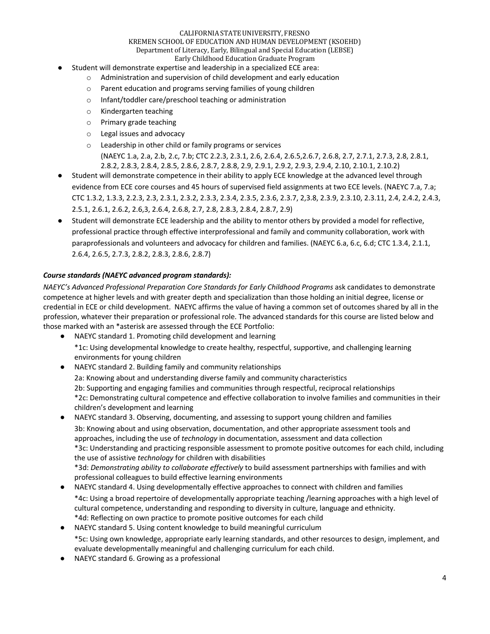## CALIFORNIA STATE UNIVERSITY, FRESNO KREMEN SCHOOL OF EDUCATION AND HUMAN DEVELOPMENT (KSOEHD) Department of Literacy, Early, Bilingual and Special Education (LEBSE)

# Early Childhood Education Graduate Program

- Student will demonstrate expertise and leadership in a specialized ECE area:
	- o Administration and supervision of child development and early education
	- o Parent education and programs serving families of young children
	- o Infant/toddler care/preschool teaching or administration
	- o Kindergarten teaching
	- o Primary grade teaching
	- o Legal issues and advocacy
	- o Leadership in other child or family programs or services
		- (NAEYC 1.a, 2.a, 2.b, 2.c, 7.b; CTC 2.2.3, 2.3.1, 2.6, 2.6.4, 2.6.5,2.6.7, 2.6.8, 2.7, 2.7.1, 2.7.3, 2.8, 2.8.1, 2.8.2, 2.8.3, 2.8.4, 2.8.5, 2.8.6, 2.8.7, 2.8.8, 2.9, 2.9.1, 2.9.2, 2.9.3, 2.9.4, 2.10, 2.10.1, 2.10.2)
- Student will demonstrate competence in their ability to apply ECE knowledge at the advanced level through evidence from ECE core courses and 45 hours of supervised field assignments at two ECE levels. (NAEYC 7.a, 7.a; CTC 1.3.2, 1.3.3, 2.2.3, 2.3, 2.3.1, 2.3.2, 2.3.3, 2.3.4, 2.3.5, 2.3.6, 2.3.7, 2,3.8, 2.3.9, 2.3.10, 2.3.11, 2.4, 2.4.2, 2.4.3, 2.5.1, 2.6.1, 2.6.2, 2.6,3, 2.6.4, 2.6.8, 2.7, 2.8, 2.8.3, 2.8.4, 2.8.7, 2.9)
- Student will demonstrate ECE leadership and the ability to mentor others by provided a model for reflective, professional practice through effective interprofessional and family and community collaboration, work with paraprofessionals and volunteers and advocacy for children and families. (NAEYC 6.a, 6.c, 6.d; CTC 1.3.4, 2.1.1, 2.6.4, 2.6.5, 2.7.3, 2.8.2, 2.8.3, 2.8.6, 2.8.7)

## *Course standards (NAEYC advanced program standards):*

*NAEYC's Advanced Professional Preparation Core Standards for Early Childhood Programs* ask candidates to demonstrate competence at higher levels and with greater depth and specialization than those holding an initial degree, license or credential in ECE or child development. NAEYC affirms the value of having a common set of outcomes shared by all in the profession, whatever their preparation or professional role. The advanced standards for this course are listed below and those marked with an \*asterisk are assessed through the ECE Portfolio:

- NAEYC standard 1. Promoting child development and learning \*1c: Using developmental knowledge to create healthy, respectful, supportive, and challenging learning environments for young children
- NAEYC standard 2. Building family and community relationships 2a: Knowing about and understanding diverse family and community characteristics 2b: Supporting and engaging families and communities through respectful, reciprocal relationships \*2c: Demonstrating cultural competence and effective collaboration to involve families and communities in their children's development and learning
- NAEYC standard 3. Observing, documenting, and assessing to support young children and families 3b: Knowing about and using observation, documentation, and other appropriate assessment tools and approaches, including the use of *technology* in documentation, assessment and data collection \*3c: Understanding and practicing responsible assessment to promote positive outcomes for each child, including the use of assistive *technology* for children with disabilities \*3d: *Demonstrating ability to collaborate effectively* to build assessment partnerships with families and with
	- professional colleagues to build effective learning environments
- NAEYC standard 4. Using developmentally effective approaches to connect with children and families \*4c: Using a broad repertoire of developmentally appropriate teaching /learning approaches with a high level of cultural competence, understanding and responding to diversity in culture, language and ethnicity. \*4d: Reflecting on own practice to promote positive outcomes for each child
- NAEYC standard 5. Using content knowledge to build meaningful curriculum \*5c: Using own knowledge, appropriate early learning standards, and other resources to design, implement, and evaluate developmentally meaningful and challenging curriculum for each child.
- NAEYC standard 6. Growing as a professional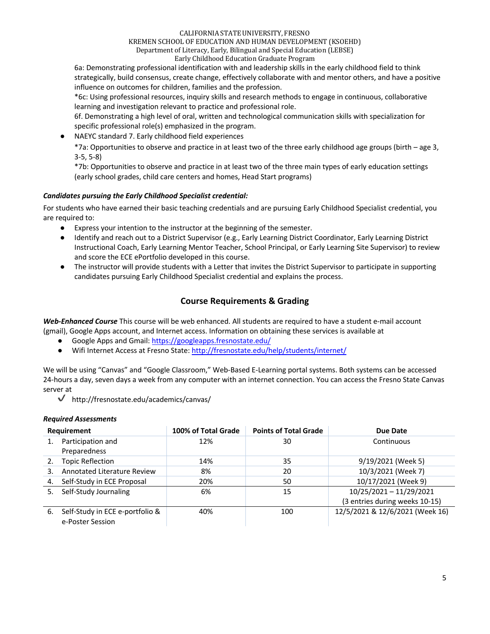#### CALIFORNIA STATE UNIVERSITY, FRESNO

## KREMEN SCHOOL OF EDUCATION AND HUMAN DEVELOPMENT (KSOEHD)

Department of Literacy, Early, Bilingual and Special Education (LEBSE)

Early Childhood Education Graduate Program

6a: Demonstrating professional identification with and leadership skills in the early childhood field to think strategically, build consensus, create change, effectively collaborate with and mentor others, and have a positive influence on outcomes for children, families and the profession.

\*6c: Using professional resources, inquiry skills and research methods to engage in continuous, collaborative learning and investigation relevant to practice and professional role.

6f. Demonstrating a high level of oral, written and technological communication skills with specialization for specific professional role(s) emphasized in the program.

NAEYC standard 7. Early childhood field experiences

\*7a: Opportunities to observe and practice in at least two of the three early childhood age groups (birth – age 3, 3-5, 5-8)

\*7b: Opportunities to observe and practice in at least two of the three main types of early education settings (early school grades, child care centers and homes, Head Start programs)

## *Candidates pursuing the Early Childhood Specialist credential:*

For students who have earned their basic teaching credentials and are pursuing Early Childhood Specialist credential, you are required to:

- Express your intention to the instructor at the beginning of the semester.
- Identify and reach out to a District Supervisor (e.g., Early Learning District Coordinator, Early Learning District Instructional Coach, Early Learning Mentor Teacher, School Principal, or Early Learning Site Supervisor) to review and score the ECE ePortfolio developed in this course.
- The instructor will provide students with a Letter that invites the District Supervisor to participate in supporting candidates pursuing Early Childhood Specialist credential and explains the process.

# **Course Requirements & Grading**

*Web-Enhanced Course* This course will be web enhanced. All students are required to have a student e-mail account (gmail), Google Apps account, and Internet access. Information on obtaining these services is available at

- Google Apps and Gmail: https://googleapps.fresnostate.edu/
- Wifi Internet Access at Fresno State: http://fresnostate.edu/help/students/internet/

We will be using "Canvas" and "Google Classroom," Web-Based E-Learning portal systems. Both systems can be accessed 24-hours a day, seven days a week from any computer with an internet connection. You can access the Fresno State Canvas server at

 $\blacktriangledown$  http://fresnostate.edu/academics/canvas/

## *Required Assessments*

| <b>Requirement</b> |                                    | 100% of Total Grade | <b>Points of Total Grade</b> | Due Date                        |
|--------------------|------------------------------------|---------------------|------------------------------|---------------------------------|
|                    | Participation and                  | 12%                 | 30                           | Continuous                      |
|                    | Preparedness                       |                     |                              |                                 |
|                    | <b>Topic Reflection</b>            | 14%                 | 35                           | 9/19/2021 (Week 5)              |
| 3.                 | <b>Annotated Literature Review</b> | 8%                  | 20                           | 10/3/2021 (Week 7)              |
|                    | Self-Study in ECE Proposal         | 20%                 | 50                           | 10/17/2021 (Week 9)             |
| 5.                 | Self-Study Journaling              | 6%                  | 15                           | 10/25/2021 - 11/29/2021         |
|                    |                                    |                     |                              | (3 entries during weeks 10-15)  |
| 6.                 | Self-Study in ECE e-portfolio &    | 40%                 | 100                          | 12/5/2021 & 12/6/2021 (Week 16) |
|                    | e-Poster Session                   |                     |                              |                                 |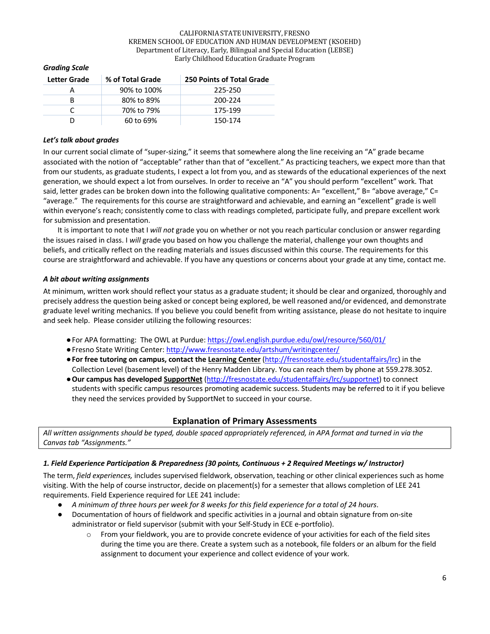| Letter Grade | % of Total Grade | <b>250 Points of Total Grade</b> |
|--------------|------------------|----------------------------------|
|              | 90% to 100%      | 225-250                          |
| R            | 80% to 89%       | 200-224                          |
|              | 70% to 79%       | 175-199                          |
|              | 60 to 69%        | 150-174                          |

## *Grading Scale*

#### *Let's talk about grades*

In our current social climate of "super-sizing," it seems that somewhere along the line receiving an "A" grade became associated with the notion of "acceptable" rather than that of "excellent." As practicing teachers, we expect more than that from our students, as graduate students, I expect a lot from you, and as stewards of the educational experiences of the next generation, we should expect a lot from ourselves. In order to receive an "A" you should perform "excellent" work. That said, letter grades can be broken down into the following qualitative components: A= "excellent," B= "above average," C= "average." The requirements for this course are straightforward and achievable, and earning an "excellent" grade is well within everyone's reach; consistently come to class with readings completed, participate fully, and prepare excellent work for submission and presentation.

It is important to note that I *will not* grade you on whether or not you reach particular conclusion or answer regarding the issues raised in class. I *will* grade you based on how you challenge the material, challenge your own thoughts and beliefs, and critically reflect on the reading materials and issues discussed within this course. The requirements for this course are straightforward and achievable. If you have any questions or concerns about your grade at any time, contact me.

## *A bit about writing assignments*

At minimum, written work should reflect your status as a graduate student; it should be clear and organized, thoroughly and precisely address the question being asked or concept being explored, be well reasoned and/or evidenced, and demonstrate graduate level writing mechanics. If you believe you could benefit from writing assistance, please do not hesitate to inquire and seek help. Please consider utilizing the following resources:

- ●For APA formatting: The OWL at Purdue: https://owl.english.purdue.edu/owl/resource/560/01/
- ●Fresno State Writing Center: http://www.fresnostate.edu/artshum/writingcenter/
- ●**For free tutoring on campus, contact the Learning Center** (http://fresnostate.edu/studentaffairs/lrc) in the Collection Level (basement level) of the Henry Madden Library. You can reach them by phone at 559.278.3052.
- ●**Our campus has developed SupportNet** (http://fresnostate.edu/studentaffairs/lrc/supportnet) to connect students with specific campus resources promoting academic success. Students may be referred to it if you believe they need the services provided by SupportNet to succeed in your course.

## **Explanation of Primary Assessments**

*All written assignments should be typed, double spaced appropriately referenced, in APA format and turned in via the Canvas tab "Assignments."*

## *1. Field Experience Participation & Preparedness (30 points, Continuous + 2 Required Meetings w/ Instructor)*

The term, *field experiences,* includes supervised fieldwork, observation, teaching or other clinical experiences such as home visiting. With the help of course instructor, decide on placement(s) for a semester that allows completion of LEE 241 requirements. Field Experience required for LEE 241 include:

- *A minimum of three hours per week for 8 weeks for this field experience for a total of 24 hours*.
- Documentation of hours of fieldwork and specific activities in a journal and obtain signature from on-site administrator or field supervisor (submit with your Self-Study in ECE e-portfolio).
	- $\circ$  From your fieldwork, you are to provide concrete evidence of your activities for each of the field sites during the time you are there. Create a system such as a notebook, file folders or an album for the field assignment to document your experience and collect evidence of your work.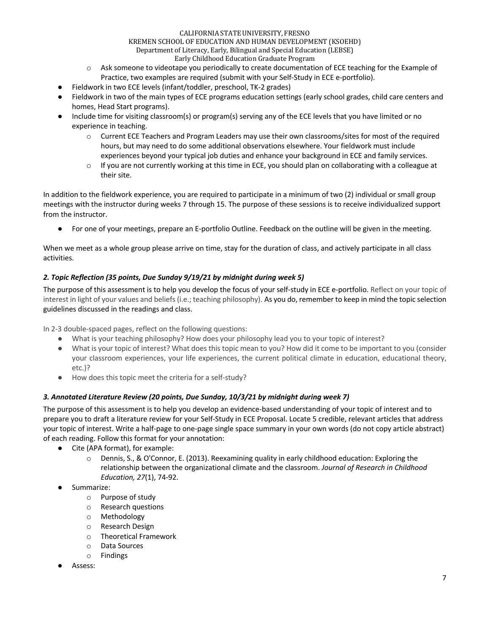- o Ask someone to videotape you periodically to create documentation of ECE teaching for the Example of Practice, two examples are required (submit with your Self-Study in ECE e-portfolio).
- Fieldwork in two ECE levels (infant/toddler, preschool, TK-2 grades)
- Fieldwork in two of the main types of ECE programs education settings (early school grades, child care centers and homes, Head Start programs).
- Include time for visiting classroom(s) or program(s) serving any of the ECE levels that you have limited or no experience in teaching.
	- o Current ECE Teachers and Program Leaders may use their own classrooms/sites for most of the required hours, but may need to do some additional observations elsewhere. Your fieldwork must include experiences beyond your typical job duties and enhance your background in ECE and family services.
	- $\circ$  If you are not currently working at this time in ECE, you should plan on collaborating with a colleague at their site.

In addition to the fieldwork experience, you are required to participate in a minimum of two (2) individual or small group meetings with the instructor during weeks 7 through 15. The purpose of these sessions is to receive individualized support from the instructor.

● For one of your meetings, prepare an E-portfolio Outline. Feedback on the outline will be given in the meeting.

When we meet as a whole group please arrive on time, stay for the duration of class, and actively participate in all class activities.

## *2. Topic Reflection (35 points, Due Sunday 9/19/21 by midnight during week 5)*

The purpose of this assessment is to help you develop the focus of your self-study in ECE e-portfolio. Reflect on your topic of interest in light of your values and beliefs (i.e.; teaching philosophy). As you do, remember to keep in mind the topic selection guidelines discussed in the readings and class.

In 2-3 double-spaced pages, reflect on the following questions:

- What is your teaching philosophy? How does your philosophy lead you to your topic of interest?
- What is your topic of interest? What does this topic mean to you? How did it come to be important to you (consider your classroom experiences, your life experiences, the current political climate in education, educational theory, etc.)?
- How does this topic meet the criteria for a self-study?

## *3. Annotated Literature Review (20 points, Due Sunday, 10/3/21 by midnight during week 7)*

The purpose of this assessment is to help you develop an evidence-based understanding of your topic of interest and to prepare you to draft a literature review for your Self-Study in ECE Proposal. Locate 5 credible, relevant articles that address your topic of interest. Write a half-page to one-page single space summary in your own words (do not copy article abstract) of each reading. Follow this format for your annotation:

- Cite (APA format), for example:
	- o Dennis, S., & O'Connor, E. (2013). Reexamining quality in early childhood education: Exploring the relationship between the organizational climate and the classroom. *Journal of Research in Childhood Education, 27*(1), 74-92.
- Summarize:
	- o Purpose of study
	- o Research questions
	- o Methodology
	- o Research Design
	- o Theoretical Framework
	- o Data Sources
	- o Findings
- Assess: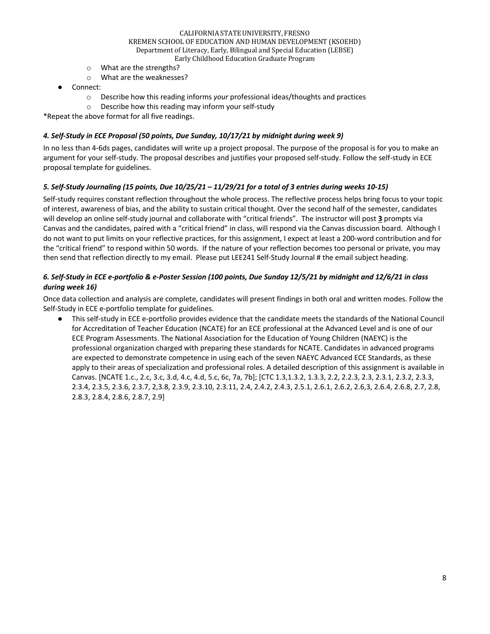- o What are the strengths?
- o What are the weaknesses?
- Connect:
	- o Describe how this reading informs *your* professional ideas/thoughts and practices
	- o Describe how this reading may inform your self-study

\*Repeat the above format for all five readings.

## *4. Self-Study in ECE Proposal (50 points, Due Sunday, 10/17/21 by midnight during week 9)*

In no less than 4-6ds pages, candidates will write up a project proposal. The purpose of the proposal is for you to make an argument for your self-study. The proposal describes and justifies your proposed self-study. Follow the self-study in ECE proposal template for guidelines.

## *5. Self-Study Journaling (15 points, Due 10/25/21 – 11/29/21 for a total of 3 entries during weeks 10-15)*

Self-study requires constant reflection throughout the whole process. The reflective process helps bring focus to your topic of interest, awareness of bias, and the ability to sustain critical thought. Over the second half of the semester, candidates will develop an online self-study journal and collaborate with "critical friends". The instructor will post **3** prompts via Canvas and the candidates, paired with a "critical friend" in class, will respond via the Canvas discussion board. Although I do not want to put limits on your reflective practices, for this assignment, I expect at least a 200-word contribution and for the "critical friend" to respond within 50 words. If the nature of your reflection becomes too personal or private, you may then send that reflection directly to my email. Please put LEE241 Self-Study Journal # the email subject heading.

## *6. Self-Study in ECE e-portfolio & e-Poster Session (100 points, Due Sunday 12/5/21 by midnight and 12/6/21 in class during week 16)*

Once data collection and analysis are complete, candidates will present findings in both oral and written modes. Follow the Self-Study in ECE e-portfolio template for guidelines.

This self-study in ECE e-portfolio provides evidence that the candidate meets the standards of the National Council for Accreditation of Teacher Education (NCATE) for an ECE professional at the Advanced Level and is one of our ECE Program Assessments. The National Association for the Education of Young Children (NAEYC) is the professional organization charged with preparing these standards for NCATE. Candidates in advanced programs are expected to demonstrate competence in using each of the seven NAEYC Advanced ECE Standards, as these apply to their areas of specialization and professional roles. A detailed description of this assignment is available in Canvas. [NCATE 1.c., 2.c, 3.c, 3.d, 4.c, 4.d, 5.c, 6c, 7a, 7b]; [CTC 1.3,1.3.2, 1.3.3, 2.2, 2.2.3, 2.3, 2.3.1, 2.3.2, 2.3.3, 2.3.4, 2.3.5, 2.3.6, 2.3.7, 2,3.8, 2.3.9, 2.3.10, 2.3.11, 2.4, 2.4.2, 2.4.3, 2.5.1, 2.6.1, 2.6.2, 2.6,3, 2.6.4, 2.6.8, 2.7, 2.8, 2.8.3, 2.8.4, 2.8.6, 2.8.7, 2.9]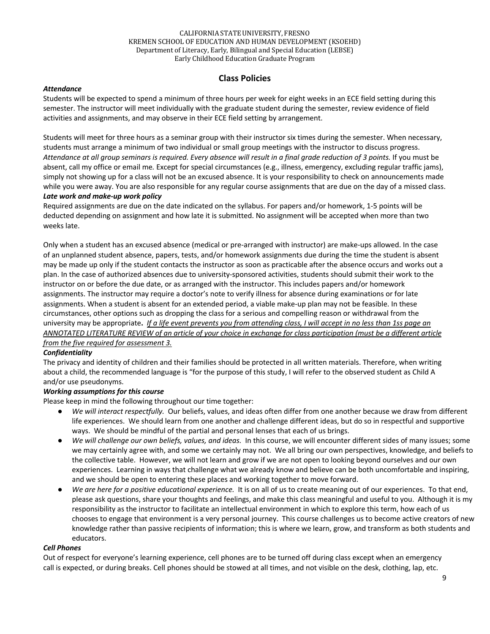## **Class Policies**

#### *Attendance*

Students will be expected to spend a minimum of three hours per week for eight weeks in an ECE field setting during this semester. The instructor will meet individually with the graduate student during the semester, review evidence of field activities and assignments, and may observe in their ECE field setting by arrangement.

Students will meet for three hours as a seminar group with their instructor six times during the semester. When necessary, students must arrange a minimum of two individual or small group meetings with the instructor to discuss progress. *Attendance at all group seminars is required. Every absence will result in a final grade reduction of 3 points.* If you must be absent, call my office or email me*.* Except for special circumstances (e.g., illness, emergency, excluding regular traffic jams), simply not showing up for a class will not be an excused absence. It is your responsibility to check on announcements made while you were away. You are also responsible for any regular course assignments that are due on the day of a missed class. *Late work and make-up work policy* 

Required assignments are due on the date indicated on the syllabus. For papers and/or homework, 1-5 points will be deducted depending on assignment and how late it is submitted. No assignment will be accepted when more than two weeks late.

Only when a student has an excused absence (medical or pre-arranged with instructor) are make-ups allowed. In the case of an unplanned student absence, papers, tests, and/or homework assignments due during the time the student is absent may be made up only if the student contacts the instructor as soon as practicable after the absence occurs and works out a plan. In the case of authorized absences due to university-sponsored activities, students should submit their work to the instructor on or before the due date, or as arranged with the instructor. This includes papers and/or homework assignments. The instructor may require a doctor's note to verify illness for absence during examinations or for late assignments. When a student is absent for an extended period, a viable make-up plan may not be feasible. In these circumstances, other options such as dropping the class for a serious and compelling reason or withdrawal from the university may be appropriate**.** *If a life event prevents you from attending class, I will accept in no less than 1ss page an ANNOTATED LITERATURE REVIEW of an article of your choice in exchange for class participation (must be a different article from the five required for assessment 3.*

## *Confidentiality*

The privacy and identity of children and their families should be protected in all written materials. Therefore, when writing about a child, the recommended language is "for the purpose of this study, I will refer to the observed student as Child A and/or use pseudonyms.

## *Working assumptions for this course*

Please keep in mind the following throughout our time together:

- We will interact respectfully. Our beliefs, values, and ideas often differ from one another because we draw from different life experiences. We should learn from one another and challenge different ideas, but do so in respectful and supportive ways. We should be mindful of the partial and personal lenses that each of us brings.
- *We will challenge our own beliefs, values, and ideas.* In this course, we will encounter different sides of many issues; some we may certainly agree with, and some we certainly may not. We all bring our own perspectives, knowledge, and beliefs to the collective table. However, we will not learn and grow if we are not open to looking beyond ourselves and our own experiences. Learning in ways that challenge what we already know and believe can be both uncomfortable and inspiring, and we should be open to entering these places and working together to move forward.
- We are here for a positive educational experience. It is on all of us to create meaning out of our experiences. To that end, please ask questions, share your thoughts and feelings, and make this class meaningful and useful to you. Although it is my responsibility as the instructor to facilitate an intellectual environment in which to explore this term, how each of us chooses to engage that environment is a very personal journey. This course challenges us to become active creators of new knowledge rather than passive recipients of information; this is where we learn, grow, and transform as both students and educators.

#### *Cell Phones*

Out of respect for everyone's learning experience, cell phones are to be turned off during class except when an emergency call is expected, or during breaks. Cell phones should be stowed at all times, and not visible on the desk, clothing, lap, etc.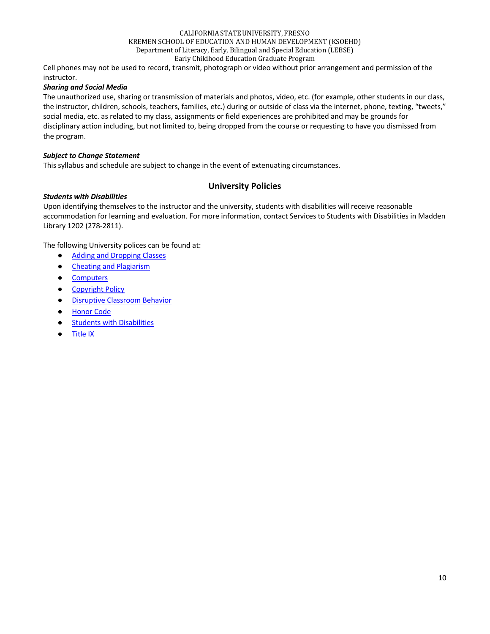Cell phones may not be used to record, transmit, photograph or video without prior arrangement and permission of the instructor.

## *Sharing and Social Media*

The unauthorized use, sharing or transmission of materials and photos, video, etc. (for example, other students in our class, the instructor, children, schools, teachers, families, etc.) during or outside of class via the internet, phone, texting, "tweets," social media, etc. as related to my class, assignments or field experiences are prohibited and may be grounds for disciplinary action including, but not limited to, being dropped from the course or requesting to have you dismissed from the program.

#### *Subject to Change Statement*

This syllabus and schedule are subject to change in the event of extenuating circumstances.

## **University Policies**

#### *Students with Disabilities*

Upon identifying themselves to the instructor and the university, students with disabilities will receive reasonable accommodation for learning and evaluation. For more information, contact Services to Students with Disabilities in Madden Library 1202 (278-2811).

The following University polices can be found at:

- Adding and Dropping Classes
- Cheating and Plagiarism
- Computers
- Copyright Policy
- Disruptive Classroom Behavior
- Honor Code
- Students with Disabilities
- Title IX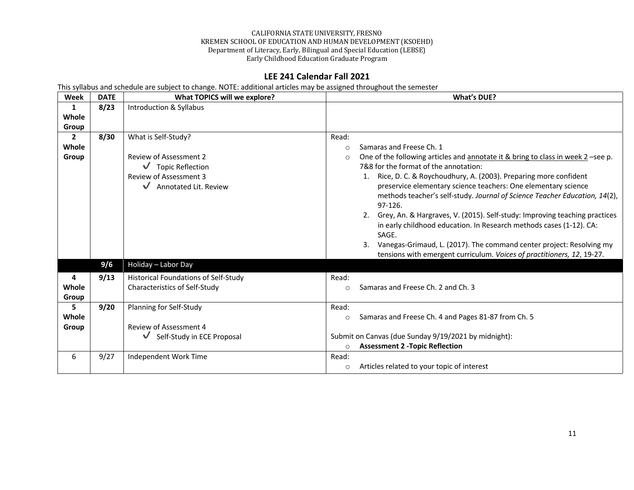# **LEE 241 Calendar Fall 2021**

This syllabus and schedule are subject to change. NOTE: additional articles may be assigned throughout the semester

| <b>Week</b>                    | <b>DATE</b> | What TOPICS will we explore?                                                                                                                            | <b>What's DUE?</b>                                                                                                                                                                                                                                                                                                                                                                                                                                                                                                                                                                                                                                                           |
|--------------------------------|-------------|---------------------------------------------------------------------------------------------------------------------------------------------------------|------------------------------------------------------------------------------------------------------------------------------------------------------------------------------------------------------------------------------------------------------------------------------------------------------------------------------------------------------------------------------------------------------------------------------------------------------------------------------------------------------------------------------------------------------------------------------------------------------------------------------------------------------------------------------|
| 1<br>Whole                     | 8/23        | Introduction & Syllabus                                                                                                                                 |                                                                                                                                                                                                                                                                                                                                                                                                                                                                                                                                                                                                                                                                              |
| Group                          |             |                                                                                                                                                         |                                                                                                                                                                                                                                                                                                                                                                                                                                                                                                                                                                                                                                                                              |
| $\mathbf{2}$<br>Whole<br>Group | 8/30        | What is Self-Study?<br><b>Review of Assessment 2</b><br>$\sqrt{\phantom{a}}$ Topic Reflection<br><b>Review of Assessment 3</b><br>Annotated Lit. Review | Read:<br>Samaras and Freese Ch. 1<br>$\circ$<br>One of the following articles and annotate it & bring to class in week $2$ -see p.<br>$\circ$<br>7&8 for the format of the annotation:<br>Rice, D. C. & Roychoudhury, A. (2003). Preparing more confident<br>1.<br>preservice elementary science teachers: One elementary science<br>methods teacher's self-study. Journal of Science Teacher Education, 14(2),<br>97-126.<br>Grey, An. & Hargraves, V. (2015). Self-study: Improving teaching practices<br>2.<br>in early childhood education. In Research methods cases (1-12). CA:<br>SAGE.<br>Vanegas-Grimaud, L. (2017). The command center project: Resolving my<br>3. |
|                                |             |                                                                                                                                                         | tensions with emergent curriculum. Voices of practitioners, 12, 19-27.                                                                                                                                                                                                                                                                                                                                                                                                                                                                                                                                                                                                       |
|                                | 9/6         | Holiday - Labor Day                                                                                                                                     |                                                                                                                                                                                                                                                                                                                                                                                                                                                                                                                                                                                                                                                                              |
| 4<br>Whole<br>Group            | 9/13        | Historical Foundations of Self-Study<br>Characteristics of Self-Study                                                                                   | Read:<br>Samaras and Freese Ch. 2 and Ch. 3<br>$\circ$                                                                                                                                                                                                                                                                                                                                                                                                                                                                                                                                                                                                                       |
| 5<br>Whole<br>Group            | 9/20        | Planning for Self-Study<br>Review of Assessment 4<br>Self-Study in ECE Proposal<br>$\checkmark$                                                         | Read:<br>Samaras and Freese Ch. 4 and Pages 81-87 from Ch. 5<br>$\circ$<br>Submit on Canvas (due Sunday 9/19/2021 by midnight):<br><b>Assessment 2 - Topic Reflection</b><br>$\circ$                                                                                                                                                                                                                                                                                                                                                                                                                                                                                         |
| 6                              | 9/27        | Independent Work Time                                                                                                                                   | Read:<br>Articles related to your topic of interest<br>$\circ$                                                                                                                                                                                                                                                                                                                                                                                                                                                                                                                                                                                                               |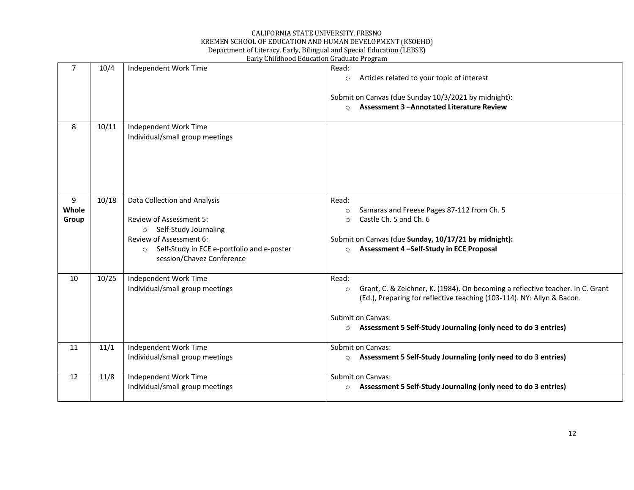## CALIFORNIA STATE UNIVERSITY, FRESNO KREMEN SCHOOL OF EDUCATION AND HUMAN DEVELOPMENT (KSOEHD) Department of Literacy, Early, Bilingual and Special Education (LEBSE)

|                     | Early Childhood Education Graduate Program |                                                                                                                                                                                                                     |                                                                                                                                                                                                                                                                                |  |
|---------------------|--------------------------------------------|---------------------------------------------------------------------------------------------------------------------------------------------------------------------------------------------------------------------|--------------------------------------------------------------------------------------------------------------------------------------------------------------------------------------------------------------------------------------------------------------------------------|--|
| $\overline{7}$      | 10/4                                       | Independent Work Time                                                                                                                                                                                               | Read:<br>Articles related to your topic of interest<br>$\circ$<br>Submit on Canvas (due Sunday 10/3/2021 by midnight):<br>Assessment 3-Annotated Literature Review<br>$\circ$                                                                                                  |  |
| 8                   | 10/11                                      | Independent Work Time<br>Individual/small group meetings                                                                                                                                                            |                                                                                                                                                                                                                                                                                |  |
| 9<br>Whole<br>Group | 10/18                                      | Data Collection and Analysis<br><b>Review of Assessment 5:</b><br>Self-Study Journaling<br>$\circ$<br>Review of Assessment 6:<br>Self-Study in ECE e-portfolio and e-poster<br>$\circ$<br>session/Chavez Conference | Read:<br>Samaras and Freese Pages 87-112 from Ch. 5<br>$\circ$<br>Castle Ch. 5 and Ch. 6<br>$\circ$<br>Submit on Canvas (due Sunday, 10/17/21 by midnight):<br>Assessment 4-Self-Study in ECE Proposal<br>$\circ$                                                              |  |
| 10                  | 10/25                                      | Independent Work Time<br>Individual/small group meetings                                                                                                                                                            | Read:<br>Grant, C. & Zeichner, K. (1984). On becoming a reflective teacher. In C. Grant<br>$\circ$<br>(Ed.), Preparing for reflective teaching (103-114). NY: Allyn & Bacon.<br>Submit on Canvas:<br>Assessment 5 Self-Study Journaling (only need to do 3 entries)<br>$\circ$ |  |
| 11                  | 11/1                                       | Independent Work Time<br>Individual/small group meetings                                                                                                                                                            | Submit on Canvas:<br>Assessment 5 Self-Study Journaling (only need to do 3 entries)<br>$\circ$                                                                                                                                                                                 |  |
| 12                  | 11/8                                       | Independent Work Time<br>Individual/small group meetings                                                                                                                                                            | Submit on Canvas:<br>Assessment 5 Self-Study Journaling (only need to do 3 entries)<br>$\circ$                                                                                                                                                                                 |  |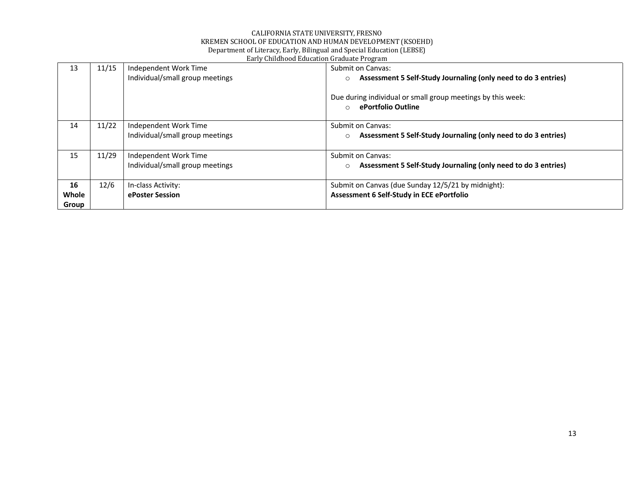|       |       | Barry Childhood Buucation Graduate Frogram |                                                                           |
|-------|-------|--------------------------------------------|---------------------------------------------------------------------------|
| 13    | 11/15 | Independent Work Time                      | Submit on Canvas:                                                         |
|       |       | Individual/small group meetings            | Assessment 5 Self-Study Journaling (only need to do 3 entries)<br>$\circ$ |
|       |       |                                            |                                                                           |
|       |       |                                            | Due during individual or small group meetings by this week:               |
|       |       |                                            | ePortfolio Outline<br>$\circ$                                             |
|       |       |                                            |                                                                           |
| 14    | 11/22 | Independent Work Time                      | Submit on Canvas:                                                         |
|       |       | Individual/small group meetings            | Assessment 5 Self-Study Journaling (only need to do 3 entries)<br>$\circ$ |
|       |       |                                            |                                                                           |
| 15    | 11/29 | Independent Work Time                      | Submit on Canvas:                                                         |
|       |       | Individual/small group meetings            | Assessment 5 Self-Study Journaling (only need to do 3 entries)<br>$\circ$ |
|       |       |                                            |                                                                           |
| 16    | 12/6  | In-class Activity:                         | Submit on Canvas (due Sunday 12/5/21 by midnight):                        |
| Whole |       | ePoster Session                            | Assessment 6 Self-Study in ECE ePortfolio                                 |
| Group |       |                                            |                                                                           |
|       |       |                                            |                                                                           |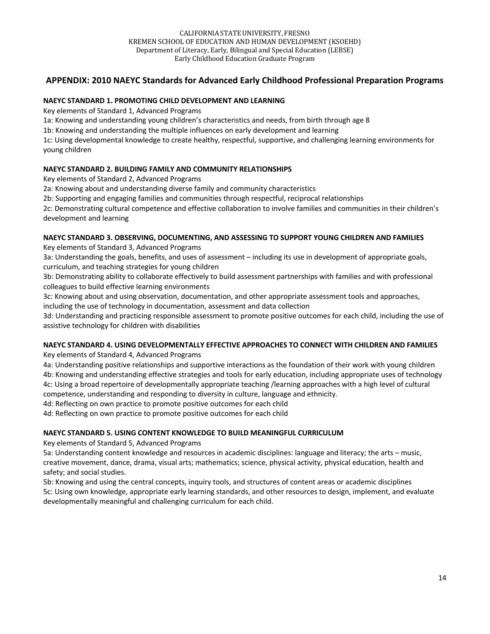## **APPENDIX: 2010 NAEYC Standards for Advanced Early Childhood Professional Preparation Programs**

#### **NAEYC STANDARD 1. PROMOTING CHILD DEVELOPMENT AND LEARNING**

Key elements of Standard 1, Advanced Programs

1a: Knowing and understanding young children's characteristics and needs, from birth through age 8

1b: Knowing and understanding the multiple influences on early development and learning

1c: Using developmental knowledge to create healthy, respectful, supportive, and challenging learning environments for young children

## **NAEYC STANDARD 2. BUILDING FAMILY AND COMMUNITY RELATIONSHIPS**

Key elements of Standard 2, Advanced Programs

2a: Knowing about and understanding diverse family and community characteristics

2b: Supporting and engaging families and communities through respectful, reciprocal relationships

2c: Demonstrating cultural competence and effective collaboration to involve families and communities in their children's development and learning

## **NAEYC STANDARD 3. OBSERVING, DOCUMENTING, AND ASSESSING TO SUPPORT YOUNG CHILDREN AND FAMILIES**

Key elements of Standard 3, Advanced Programs

3a: Understanding the goals, benefits, and uses of assessment – including its use in development of appropriate goals, curriculum, and teaching strategies for young children

3b: Demonstrating ability to collaborate effectively to build assessment partnerships with families and with professional colleagues to build effective learning environments

3c: Knowing about and using observation, documentation, and other appropriate assessment tools and approaches, including the use of technology in documentation, assessment and data collection

3d: Understanding and practicing responsible assessment to promote positive outcomes for each child, including the use of assistive technology for children with disabilities

## **NAEYC STANDARD 4. USING DEVELOPMENTALLY EFFECTIVE APPROACHES TO CONNECT WITH CHILDREN AND FAMILIES**

Key elements of Standard 4, Advanced Programs

4a: Understanding positive relationships and supportive interactions as the foundation of their work with young children 4b: Knowing and understanding effective strategies and tools for early education, including appropriate uses of technology 4c: Using a broad repertoire of developmentally appropriate teaching /learning approaches with a high level of cultural competence, understanding and responding to diversity in culture, language and ethnicity.

4d: Reflecting on own practice to promote positive outcomes for each child

4d: Reflecting on own practice to promote positive outcomes for each child

#### **NAEYC STANDARD 5. USING CONTENT KNOWLEDGE TO BUILD MEANINGFUL CURRICULUM**

Key elements of Standard 5, Advanced Programs

5a: Understanding content knowledge and resources in academic disciplines: language and literacy; the arts – music, creative movement, dance, drama, visual arts; mathematics; science, physical activity, physical education, health and safety; and social studies.

5b: Knowing and using the central concepts, inquiry tools, and structures of content areas or academic disciplines 5c: Using own knowledge, appropriate early learning standards, and other resources to design, implement, and evaluate developmentally meaningful and challenging curriculum for each child.